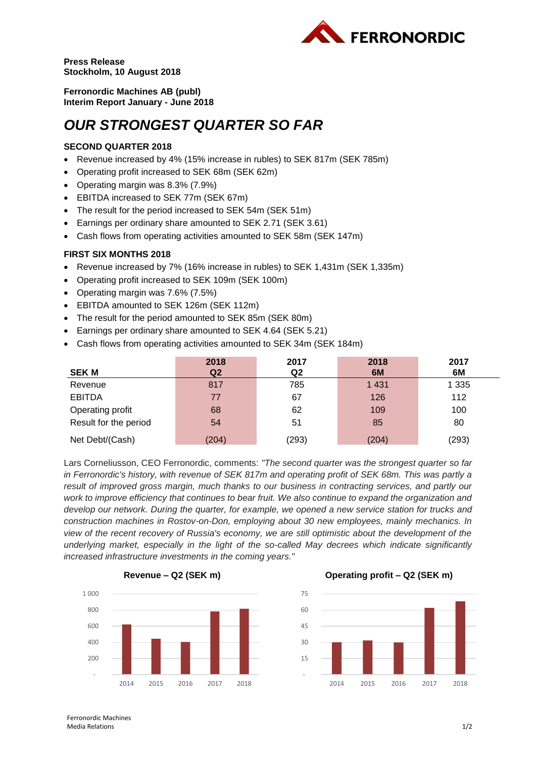

**Press Release Stockholm, 10 August 2018**

**Ferronordic Machines AB (publ) Interim Report January - June 2018**

# *OUR STRONGEST QUARTER SO FAR*

## **SECOND QUARTER 2018**

- Revenue increased by 4% (15% increase in rubles) to SEK 817m (SEK 785m)
- Operating profit increased to SEK 68m (SEK 62m)
- Operating margin was 8.3% (7.9%)
- EBITDA increased to SEK 77m (SEK 67m)
- The result for the period increased to SEK 54m (SEK 51m)
- Earnings per ordinary share amounted to SEK 2.71 (SEK 3.61)
- Cash flows from operating activities amounted to SEK 58m (SEK 147m)

## **FIRST SIX MONTHS 2018**

- Revenue increased by 7% (16% increase in rubles) to SEK 1,431m (SEK 1,335m)
- Operating profit increased to SEK 109m (SEK 100m)
- Operating margin was 7.6% (7.5%)
- EBITDA amounted to SEK 126m (SEK 112m)
- The result for the period amounted to SEK 85m (SEK 80m)
- Earnings per ordinary share amounted to SEK 4.64 (SEK 5.21)
- Cash flows from operating activities amounted to SEK 34m (SEK 184m)

|                       | 2018           | 2017  | 2018    | 2017    |
|-----------------------|----------------|-------|---------|---------|
| <b>SEK M</b>          | Q <sub>2</sub> | Q2    | 6M      | 6M      |
| Revenue               | 817            | 785   | 1 4 3 1 | 1 3 3 5 |
| <b>EBITDA</b>         | 77             | 67    | 126     | 112     |
| Operating profit      | 68             | 62    | 109     | 100     |
| Result for the period | 54             | 51    | 85      | 80      |
| Net Debt/(Cash)       | (204)          | (293) | (204)   | (293)   |

Lars Corneliusson, CEO Ferronordic, comments: *"The second quarter was the strongest quarter so far in Ferronordic's history, with revenue of SEK 817m and operating profit of SEK 68m. This was partly a*  result of improved gross margin, much thanks to our business in contracting services, and partly our *work to improve efficiency that continues to bear fruit. We also continue to expand the organization and develop our network. During the quarter, for example, we opened a new service station for trucks and construction machines in Rostov-on-Don, employing about 30 new employees, mainly mechanics. In view of the recent recovery of Russia's economy, we are still optimistic about the development of the underlying market, especially in the light of the so-called May decrees which indicate significantly increased infrastructure investments in the coming years."*



**Revenue – Q2 (SEK m) Operating profit – Q2 (SEK m)**



Ferronordic Machines Media Relations 1/2